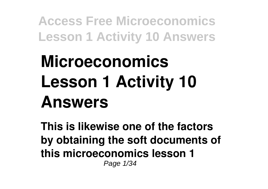# **Microeconomics Lesson 1 Activity 10 Answers**

**This is likewise one of the factors by obtaining the soft documents of this microeconomics lesson 1** Page 1/34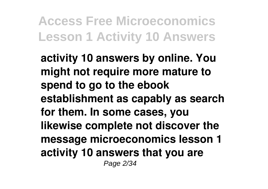**activity 10 answers by online. You might not require more mature to spend to go to the ebook establishment as capably as search for them. In some cases, you likewise complete not discover the message microeconomics lesson 1 activity 10 answers that you are** Page 2/34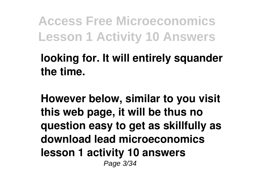**looking for. It will entirely squander the time.**

**However below, similar to you visit this web page, it will be thus no question easy to get as skillfully as download lead microeconomics lesson 1 activity 10 answers** Page 3/34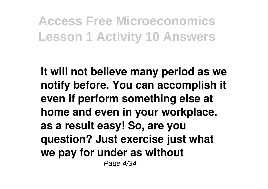**It will not believe many period as we notify before. You can accomplish it even if perform something else at home and even in your workplace. as a result easy! So, are you question? Just exercise just what we pay for under as without** Page 4/34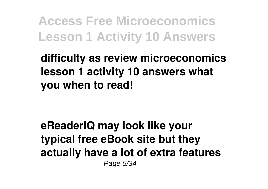**difficulty as review microeconomics lesson 1 activity 10 answers what you when to read!**

**eReaderIQ may look like your typical free eBook site but they actually have a lot of extra features** Page 5/34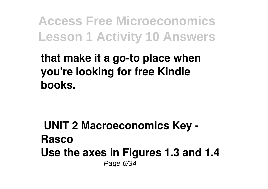**that make it a go-to place when you're looking for free Kindle books.**

**UNIT 2 Macroeconomics Key - Rasco Use the axes in Figures 1.3 and 1.4** Page 6/34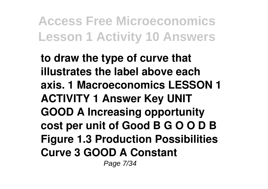**to draw the type of curve that illustrates the label above each axis. 1 Macroeconomics LESSON 1 ACTIVITY 1 Answer Key UNIT GOOD A Increasing opportunity cost per unit of Good B G O O D B Figure 1.3 Production Possibilities Curve 3 GOOD A Constant** Page 7/34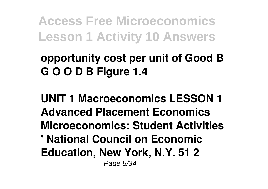**opportunity cost per unit of Good B G O O D B Figure 1.4**

**UNIT 1 Macroeconomics LESSON 1 Advanced Placement Economics Microeconomics: Student Activities ' National Council on Economic Education, New York, N.Y. 51 2** Page 8/34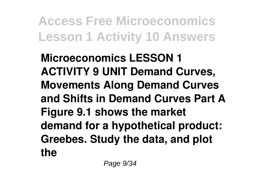**Microeconomics LESSON 1 ACTIVITY 9 UNIT Demand Curves, Movements Along Demand Curves and Shifts in Demand Curves Part A Figure 9.1 shows the market demand for a hypothetical product: Greebes. Study the data, and plot the**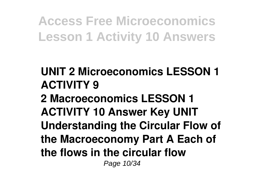**UNIT 2 Microeconomics LESSON 1 ACTIVITY 9 2 Macroeconomics LESSON 1 ACTIVITY 10 Answer Key UNIT Understanding the Circular Flow of the Macroeconomy Part A Each of the flows in the circular flow** Page 10/34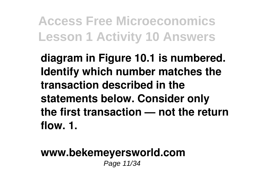**diagram in Figure 10.1 is numbered. Identify which number matches the transaction described in the statements below. Consider only the first transaction — not the return flow. 1.**

#### **www.bekemeyersworld.com** Page 11/34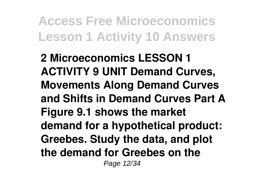**2 Microeconomics LESSON 1 ACTIVITY 9 UNIT Demand Curves, Movements Along Demand Curves and Shifts in Demand Curves Part A Figure 9.1 shows the market demand for a hypothetical product: Greebes. Study the data, and plot the demand for Greebes on the** Page 12/34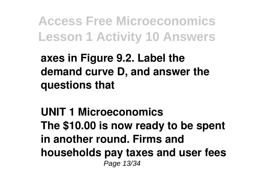**axes in Figure 9.2. Label the demand curve D, and answer the questions that**

**UNIT 1 Microeconomics The \$10.00 is now ready to be spent in another round. Firms and households pay taxes and user fees** Page 13/34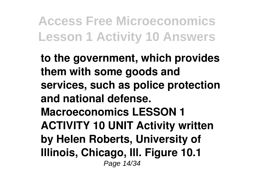**to the government, which provides them with some goods and services, such as police protection and national defense. Macroeconomics LESSON 1 ACTIVITY 10 UNIT Activity written by Helen Roberts, University of Illinois, Chicago, Ill. Figure 10.1** Page 14/34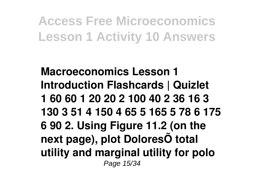**Macroeconomics Lesson 1 Introduction Flashcards | Quizlet 1 60 60 1 20 20 2 100 40 2 36 16 3 130 3 51 4 150 4 65 5 165 5 78 6 175 6 90 2. Using Figure 11.2 (on the next page), plot DoloresÕ total utility and marginal utility for polo** Page 15/34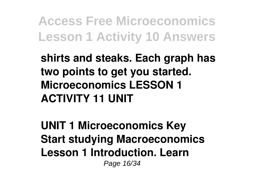**shirts and steaks. Each graph has two points to get you started. Microeconomics LESSON 1 ACTIVITY 11 UNIT**

**UNIT 1 Microeconomics Key Start studying Macroeconomics Lesson 1 Introduction. Learn** Page 16/34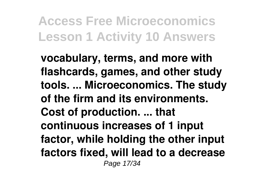**vocabulary, terms, and more with flashcards, games, and other study tools. ... Microeconomics. The study of the firm and its environments. Cost of production. ... that continuous increases of 1 input factor, while holding the other input factors fixed, will lead to a decrease** Page 17/34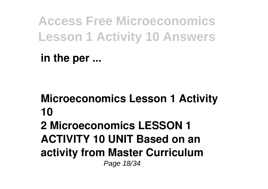**in the per ...**

**Microeconomics Lesson 1 Activity 10 2 Microeconomics LESSON 1 ACTIVITY 10 UNIT Based on an activity from Master Curriculum** Page 18/34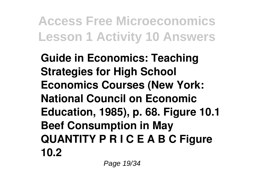**Guide in Economics: Teaching Strategies for High School Economics Courses (New York: National Council on Economic Education, 1985), p. 68. Figure 10.1 Beef Consumption in May QUANTITY P R I C E A B C Figure 10.2**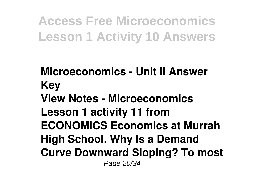**Microeconomics - Unit II Answer Key View Notes - Microeconomics Lesson 1 activity 11 from ECONOMICS Economics at Murrah High School. Why Is a Demand Curve Downward Sloping? To most** Page 20/34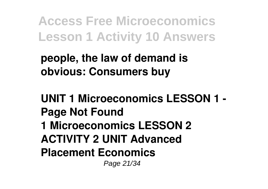**people, the law of demand is obvious: Consumers buy**

**UNIT 1 Microeconomics LESSON 1 - Page Not Found 1 Microeconomics LESSON 2 ACTIVITY 2 UNIT Advanced Placement Economics** Page 21/34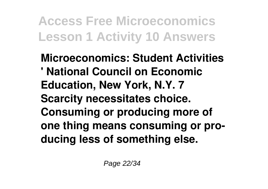**Microeconomics: Student Activities ' National Council on Economic Education, New York, N.Y. 7 Scarcity necessitates choice. Consuming or producing more of one thing means consuming or producing less of something else.**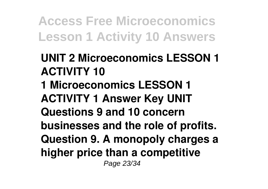- **UNIT 2 Microeconomics LESSON 1 ACTIVITY 10**
- **1 Microeconomics LESSON 1 ACTIVITY 1 Answer Key UNIT Questions 9 and 10 concern businesses and the role of profits. Question 9. A monopoly charges a higher price than a competitive** Page 23/34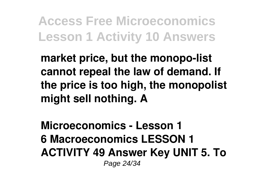**market price, but the monopo-list cannot repeal the law of demand. If the price is too high, the monopolist might sell nothing. A**

**Microeconomics - Lesson 1 6 Macroeconomics LESSON 1 ACTIVITY 49 Answer Key UNIT 5. To** Page 24/34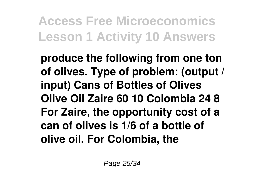**produce the following from one ton of olives. Type of problem: (output / input) Cans of Bottles of Olives Olive Oil Zaire 60 10 Colombia 24 8 For Zaire, the opportunity cost of a can of olives is 1/6 of a bottle of olive oil. For Colombia, the**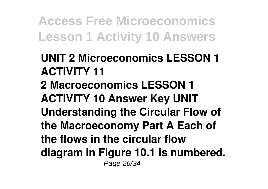**UNIT 2 Microeconomics LESSON 1 ACTIVITY 11 2 Macroeconomics LESSON 1 ACTIVITY 10 Answer Key UNIT Understanding the Circular Flow of the Macroeconomy Part A Each of the flows in the circular flow diagram in Figure 10.1 is numbered.** Page 26/34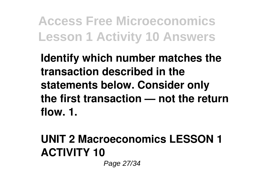**Identify which number matches the transaction described in the statements below. Consider only the first transaction — not the return flow. 1.**

### **UNIT 2 Macroeconomics LESSON 1 ACTIVITY 10**

Page 27/34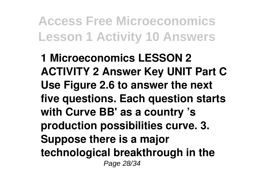**1 Microeconomics LESSON 2 ACTIVITY 2 Answer Key UNIT Part C Use Figure 2.6 to answer the next five questions. Each question starts with Curve BB' as a country 's production possibilities curve. 3. Suppose there is a major technological breakthrough in the** Page 28/34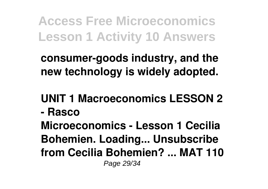**consumer-goods industry, and the new technology is widely adopted.**

**UNIT 1 Macroeconomics LESSON 2**

**- Rasco**

**Microeconomics - Lesson 1 Cecilia Bohemien. Loading... Unsubscribe from Cecilia Bohemien? ... MAT 110** Page 29/34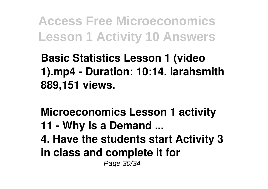**Basic Statistics Lesson 1 (video 1).mp4 - Duration: 10:14. larahsmith 889,151 views.**

**Microeconomics Lesson 1 activity 11 - Why Is a Demand ... 4. Have the students start Activity 3 in class and complete it for** Page 30/34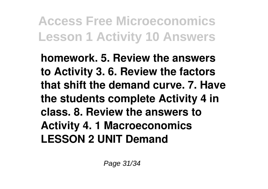**homework. 5. Review the answers to Activity 3. 6. Review the factors that shift the demand curve. 7. Have the students complete Activity 4 in class. 8. Review the answers to Activity 4. 1 Macroeconomics LESSON 2 UNIT Demand**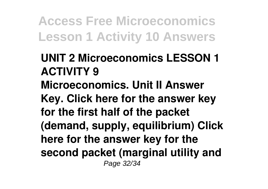**UNIT 2 Microeconomics LESSON 1 ACTIVITY 9 Microeconomics. Unit II Answer Key. Click here for the answer key for the first half of the packet (demand, supply, equilibrium) Click here for the answer key for the second packet (marginal utility and** Page 32/34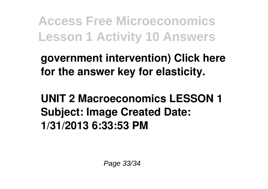**government intervention) Click here for the answer key for elasticity.**

**UNIT 2 Macroeconomics LESSON 1 Subject: Image Created Date: 1/31/2013 6:33:53 PM**